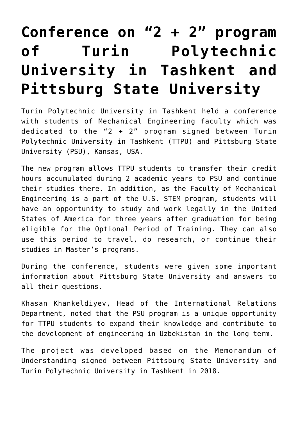## **[Conference on "2 + 2" program](https://polito.uz/13984/) [of Turin Polytechnic](https://polito.uz/13984/) [University in Tashkent and](https://polito.uz/13984/) [Pittsburg State University](https://polito.uz/13984/)**

Turin Polytechnic University in Tashkent held a conference with students of Mechanical Engineering faculty which was dedicated to the "2 + 2" program signed between Turin Polytechnic University in Tashkent (TTPU) and Pittsburg State University (PSU), Kansas, USA.

The new program allows TTPU students to transfer their credit hours accumulated during 2 academic years to PSU and continue their studies there. In addition, as the Faculty of Mechanical Engineering is a part of the U.S. STEM program, students will have an opportunity to study and work legally in the United States of America for three years after graduation for being eligible for the Optional Period of Training. They can also use this period to travel, do research, or continue their studies in Master's programs.

During the conference, students were given some important information about Pittsburg State University and answers to all their questions.

Khasan Khankeldiyev, Head of the International Relations Department, noted that the PSU program is a unique opportunity for TTPU students to expand their knowledge and contribute to the development of engineering in Uzbekistan in the long term.

The project was developed based on the Memorandum of Understanding signed between Pittsburg State University and Turin Polytechnic University in Tashkent in 2018.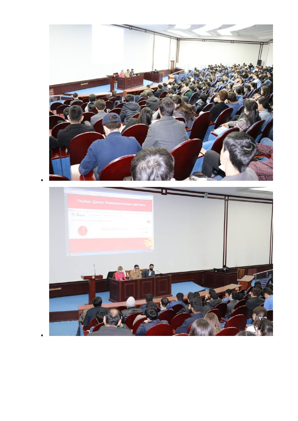